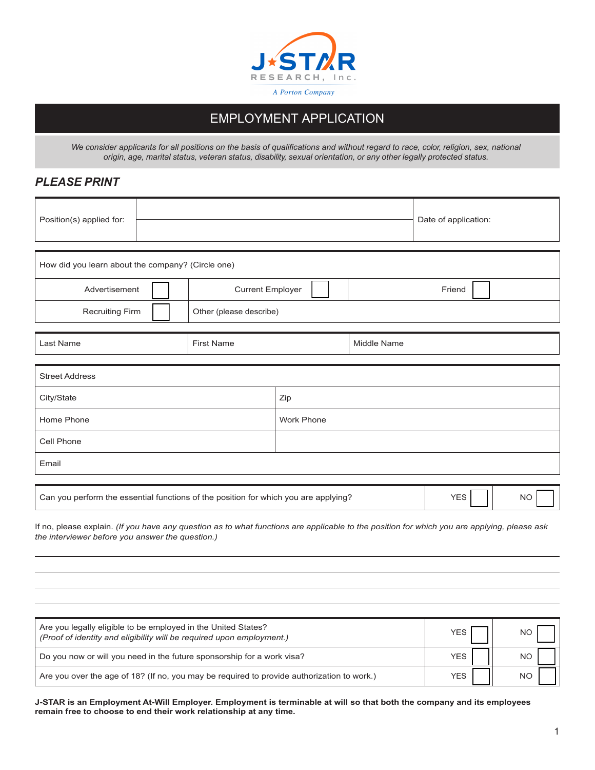

## EMPLOYMENT APPLICATION

*We consider applicants for all positions on the basis of qualifications and without regard to race, color, religion, sex, national origin, age, marital status, veteran status, disability, sexual orientation, or any other legally protected status.*

#### *PLEASE PRINT*

| Position(s) applied for:                                                                                                                                                                        |  |                         |                         |                | Date of application: |           |
|-------------------------------------------------------------------------------------------------------------------------------------------------------------------------------------------------|--|-------------------------|-------------------------|----------------|----------------------|-----------|
|                                                                                                                                                                                                 |  |                         |                         |                |                      |           |
| How did you learn about the company? (Circle one)                                                                                                                                               |  |                         |                         |                |                      |           |
| Advertisement                                                                                                                                                                                   |  | <b>Current Employer</b> |                         |                | Friend               |           |
| <b>Recruiting Firm</b>                                                                                                                                                                          |  |                         | Other (please describe) |                |                      |           |
| Last Name                                                                                                                                                                                       |  | <b>First Name</b>       |                         | Middle Name    |                      |           |
| <b>Street Address</b>                                                                                                                                                                           |  |                         |                         |                |                      |           |
| City/State                                                                                                                                                                                      |  |                         | Zip                     |                |                      |           |
| Home Phone                                                                                                                                                                                      |  |                         | <b>Work Phone</b>       |                |                      |           |
| Cell Phone                                                                                                                                                                                      |  |                         |                         |                |                      |           |
| Email                                                                                                                                                                                           |  |                         |                         |                |                      |           |
| Can you perform the essential functions of the position for which you are applying?                                                                                                             |  |                         |                         |                | <b>YES</b>           | <b>NO</b> |
| If no, please explain. (If you have any question as to what functions are applicable to the position for which you are applying, please ask<br>the interviewer before you answer the question.) |  |                         |                         |                |                      |           |
|                                                                                                                                                                                                 |  |                         |                         |                |                      |           |
|                                                                                                                                                                                                 |  |                         |                         |                |                      |           |
|                                                                                                                                                                                                 |  |                         |                         |                |                      |           |
| Are you legally eligible to be employed in the United States?<br>(Proof of identity and eligibility will be required upon employment.)                                                          |  |                         |                         |                | <b>YES</b>           | <b>NO</b> |
| Do you now or will you need in the future sponsorship for a work visa?                                                                                                                          |  |                         | <b>YES</b>              | N <sub>O</sub> |                      |           |

**J-STAR is an Employment At-Will Employer. Employment is terminable at will so that both the company and its employees remain free to choose to end their work relationship at any time.**

Are you over the age of 18? (If no, you may be required to provide authorization to work.)  $YES$   $||$  NO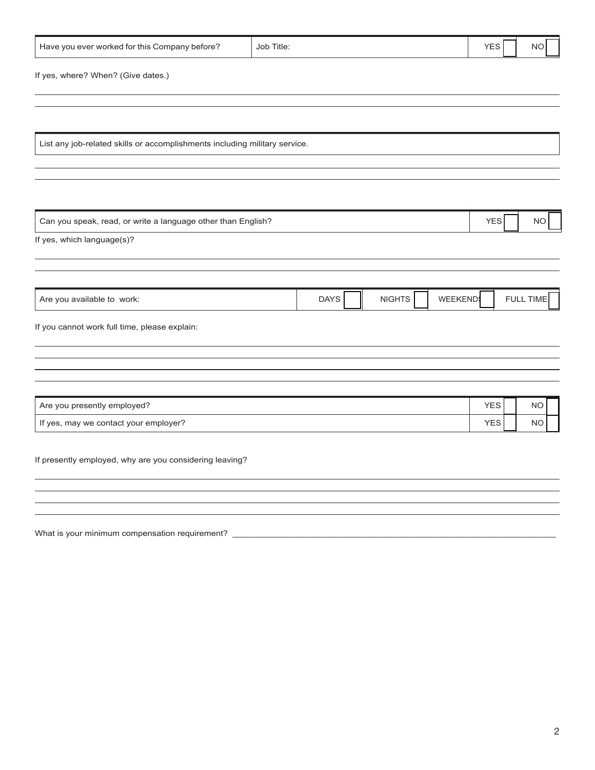| Have you ever worked for this Company before?                              | Job Title:                                     | <b>YES</b><br>NO.       |
|----------------------------------------------------------------------------|------------------------------------------------|-------------------------|
| If yes, where? When? (Give dates.)                                         |                                                |                         |
|                                                                            |                                                |                         |
| List any job-related skills or accomplishments including military service. |                                                |                         |
|                                                                            |                                                |                         |
| Can you speak, read, or write a language other than English?               |                                                | <b>YES</b><br><b>NO</b> |
| If yes, which language(s)?                                                 |                                                |                         |
|                                                                            |                                                |                         |
| Are you available to work:                                                 | <b>NIGHTS</b><br><b>WEEKEND</b><br><b>DAYS</b> | FULL TIME               |
| If you cannot work full time, please explain:                              |                                                |                         |
|                                                                            |                                                |                         |
| Are you presently employed?                                                |                                                | <b>YES</b><br><b>NO</b> |
| If yes, may we contact your employer?                                      |                                                | <b>YES</b><br><b>NO</b> |
| If presently employed, why are you considering leaving?                    |                                                |                         |
|                                                                            |                                                |                         |
|                                                                            |                                                |                         |

What is your minimum compensation requirement? \_\_\_\_\_\_\_\_\_\_\_\_\_\_\_\_\_\_\_\_\_\_\_\_\_\_\_\_\_\_\_\_\_\_\_\_\_\_\_\_\_\_\_\_\_\_\_\_\_\_\_\_\_\_\_\_\_\_\_\_\_\_\_\_\_\_\_\_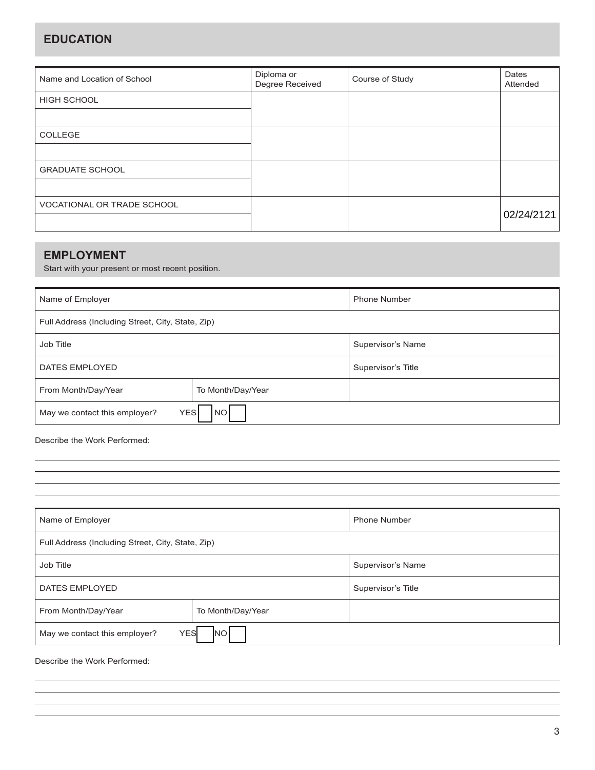### **EDUCATION**

| Name and Location of School | Diploma or<br>Degree Received | Course of Study | Dates<br>Attended |
|-----------------------------|-------------------------------|-----------------|-------------------|
| <b>HIGH SCHOOL</b>          |                               |                 |                   |
|                             |                               |                 |                   |
| <b>COLLEGE</b>              |                               |                 |                   |
|                             |                               |                 |                   |
| <b>GRADUATE SCHOOL</b>      |                               |                 |                   |
|                             |                               |                 |                   |
| VOCATIONAL OR TRADE SCHOOL  |                               |                 |                   |
|                             |                               |                 | 02/24/2121        |

### **EMPLOYMENT**

Start with your present or most recent position.

| Name of Employer                                         | <b>Phone Number</b> |                    |  |
|----------------------------------------------------------|---------------------|--------------------|--|
| Full Address (Including Street, City, State, Zip)        |                     |                    |  |
| Job Title                                                |                     | Supervisor's Name  |  |
| DATES EMPLOYED                                           |                     | Supervisor's Title |  |
| From Month/Day/Year<br>To Month/Day/Year                 |                     |                    |  |
| <b>NO</b><br><b>YES</b><br>May we contact this employer? |                     |                    |  |

Describe the Work Performed:

| Name of Employer                                  | <b>Phone Number</b> |                    |  |  |
|---------------------------------------------------|---------------------|--------------------|--|--|
| Full Address (Including Street, City, State, Zip) |                     |                    |  |  |
| Job Title                                         |                     | Supervisor's Name  |  |  |
| <b>DATES EMPLOYED</b>                             |                     | Supervisor's Title |  |  |
| From Month/Day/Year<br>To Month/Day/Year          |                     |                    |  |  |
| <b>YES</b><br>May we contact this employer?<br>NO |                     |                    |  |  |

Describe the Work Performed: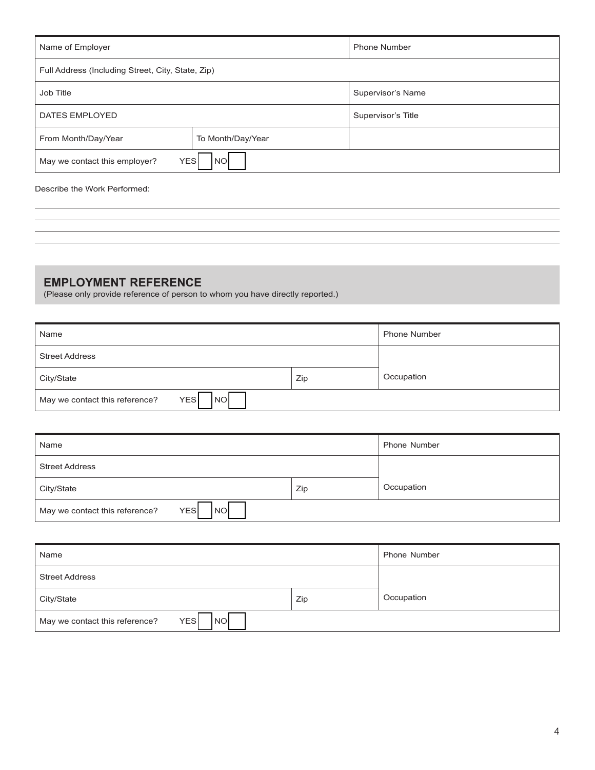| Name of Employer                                         | <b>Phone Number</b> |                    |  |
|----------------------------------------------------------|---------------------|--------------------|--|
| Full Address (Including Street, City, State, Zip)        |                     |                    |  |
| Job Title                                                | Supervisor's Name   |                    |  |
| <b>DATES EMPLOYED</b>                                    |                     | Supervisor's Title |  |
| From Month/Day/Year<br>To Month/Day/Year                 |                     |                    |  |
| <b>YES</b><br><b>NO</b><br>May we contact this employer? |                     |                    |  |

#### Describe the Work Performed:

# **EMPLOYMENT REFERENCE**

(Please only provide reference of person to whom you have directly reported.)

| Name                                                      |     | <b>Phone Number</b> |
|-----------------------------------------------------------|-----|---------------------|
| <b>Street Address</b>                                     |     |                     |
| City/State                                                | Zip | Occupation          |
| <b>YES</b><br>May we contact this reference?<br><b>NO</b> |     |                     |

| Name                                               |     | <b>Phone Number</b> |
|----------------------------------------------------|-----|---------------------|
| <b>Street Address</b>                              |     |                     |
| City/State                                         | Zip | Occupation          |
| NO<br>May we contact this reference?<br><b>YES</b> |     |                     |

| Name                                               |     | Phone Number |
|----------------------------------------------------|-----|--------------|
| <b>Street Address</b>                              |     |              |
| City/State                                         | Zip | Occupation   |
| NO<br><b>YES</b><br>May we contact this reference? |     |              |